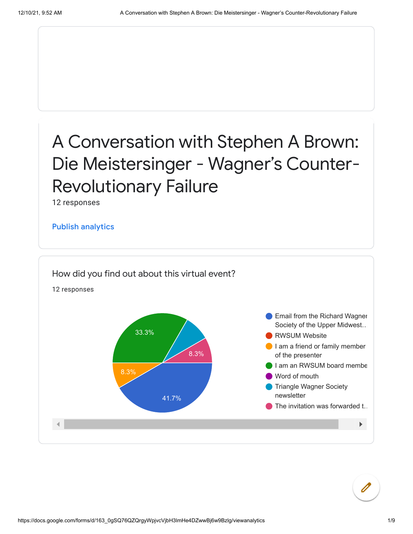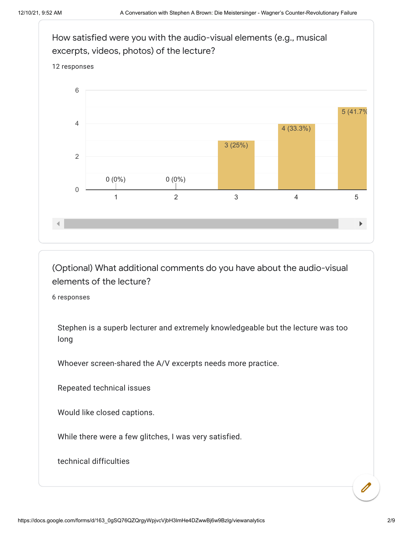

(Optional) What additional comments do you have about the audio-visual elements of the lecture?

6 responses

Stephen is a superb lecturer and extremely knowledgeable but the lecture was too long

Whoever screen-shared the A/V excerpts needs more practice.

Repeated technical issues

Would like closed captions.

While there were a few glitches, I was very satisfied.

technical difficulties

 $\overline{\mathscr{O}}$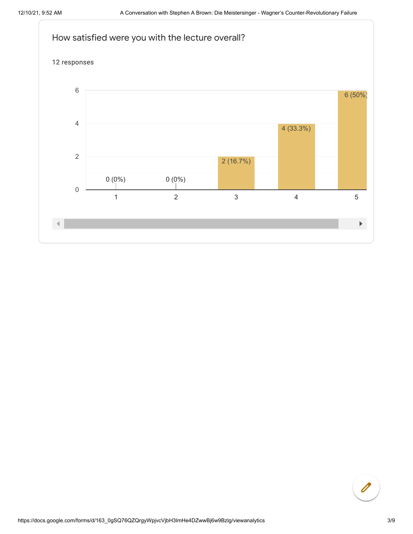

$$
\begin{pmatrix} \mathbf{0} \end{pmatrix}
$$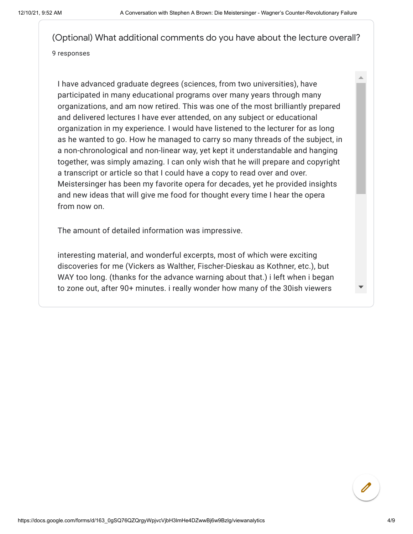(Optional) What additional comments do you have about the lecture overall? 9 responses

I have advanced graduate degrees (sciences, from two universities), have participated in many educational programs over many years through many organizations, and am now retired. This was one of the most brilliantly prepared and delivered lectures I have ever attended, on any subject or educational organization in my experience. I would have listened to the lecturer for as long as he wanted to go. How he managed to carry so many threads of the subject, in a non-chronological and non-linear way, yet kept it understandable and hanging together, was simply amazing. I can only wish that he will prepare and copyright a transcript or article so that I could have a copy to read over and over. Meistersinger has been my favorite opera for decades, yet he provided insights and new ideas that will give me food for thought every time I hear the opera from now on.

The amount of detailed information was impressive.

interesting material, and wonderful excerpts, most of which were exciting discoveries for me (Vickers as Walther, Fischer-Dieskau as Kothner, etc.), but WAY too long. (thanks for the advance warning about that.) i left when i began to zone out, after 90+ minutes. i really wonder how many of the 30ish viewers

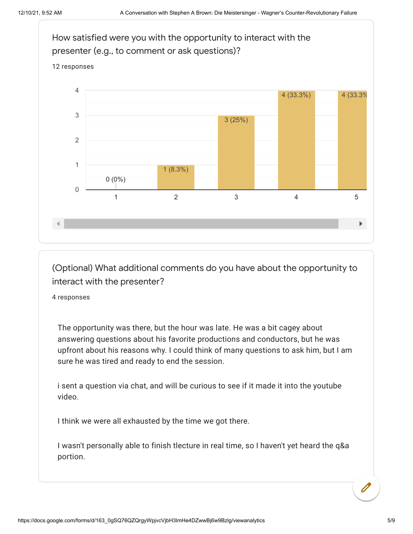

(Optional) What additional comments do you have about the opportunity to interact with the presenter?

4 responses

The opportunity was there, but the hour was late. He was a bit cagey about answering questions about his favorite productions and conductors, but he was upfront about his reasons why. I could think of many questions to ask him, but I am sure he was tired and ready to end the session.

i sent a question via chat, and will be curious to see if it made it into the youtube video.

I think we were all exhausted by the time we got there.

I wasn't personally able to finish tlecture in real time, so I haven't yet heard the q&a portion.

 $\mathscr{O}$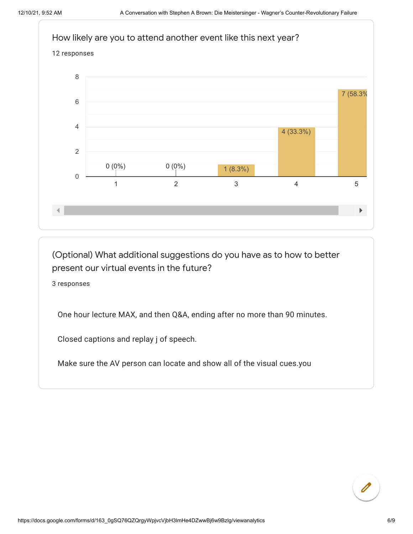

(Optional) What additional suggestions do you have as to how to better present our virtual events in the future?

3 responses

One hour lecture MAX, and then Q&A, ending after no more than 90 minutes.

Closed captions and replay j of speech.

Make sure the AV person can locate and show all of the visual cues.you